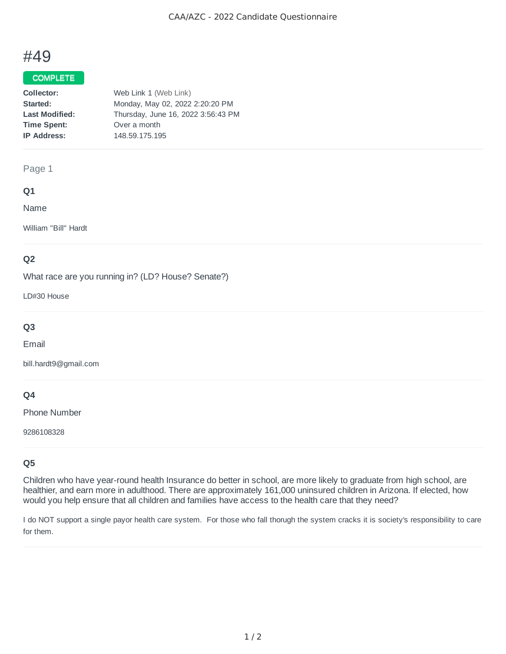# #49

## COMPLETE

| Collector:            | Web Link 1 (Web Link)              |
|-----------------------|------------------------------------|
| Started:              | Monday, May 02, 2022 2:20:20 PM    |
| <b>Last Modified:</b> | Thursday, June 16, 2022 3:56:43 PM |
| <b>Time Spent:</b>    | Over a month                       |
| <b>IP Address:</b>    | 148.59.175.195                     |
|                       |                                    |

## Page 1

## **Q1**

Name

William "Bill" Hardt

## **Q2**

What race are you running in? (LD? House? Senate?)

LD#30 House

# **Q3**

Email

bill.hardt9@gmail.com

## **Q4**

Phone Number

9286108328

## **Q5**

Children who have year-round health Insurance do better in school, are more likely to graduate from high school, are healthier, and earn more in adulthood. There are approximately 161,000 uninsured children in Arizona. If elected, how would you help ensure that all children and families have access to the health care that they need?

I do NOT support a single payor health care system. For those who fall thorugh the system cracks it is society's responsibility to care for them.